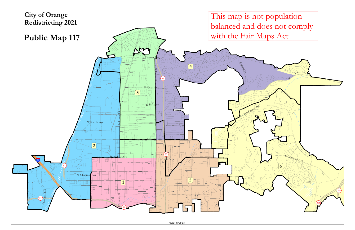